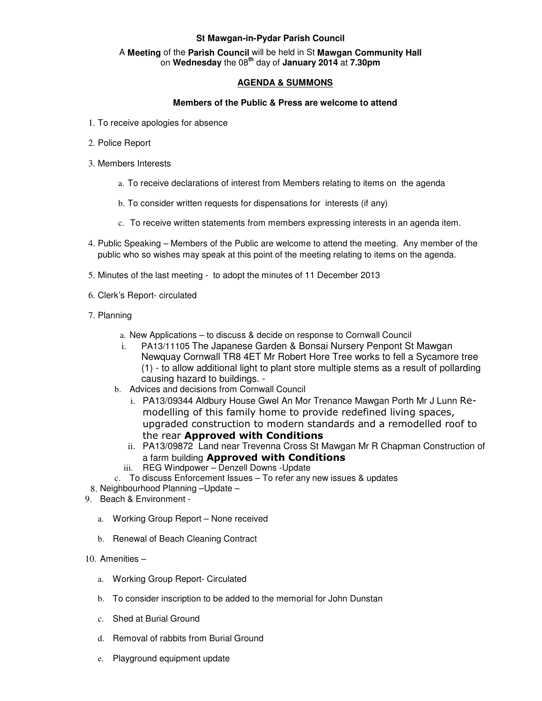## **St Mawgan-in-Pydar Parish Council**

### A **Meeting** of the **Parish Council** will be held in St **Mawgan Community Hall** on **Wednesday** the 08**th** day of **January 2014** at **7.30pm**

# **AGENDA & SUMMONS**

### **Members of the Public & Press are welcome to attend**

- 1. To receive apologies for absence
- 2. Police Report
- 3. Members Interests
	- a. To receive declarations of interest from Members relating to items on the agenda
	- b. To consider written requests for dispensations for interests (if any)
	- c. To receive written statements from members expressing interests in an agenda item.
- 4. Public Speaking Members of the Public are welcome to attend the meeting. Any member of the public who so wishes may speak at this point of the meeting relating to items on the agenda.
- 5. Minutes of the last meeting to adopt the minutes of 11 December 2013
- 6. Clerk's Report- circulated
- 7. Planning
	- a. New Applications to discuss & decide on response to Cornwall Council
	- PA13/11105 The Japanese Garden & Bonsai Nursery Penpont St Mawgan Newquay Cornwall TR8 4ET Mr Robert Hore Tree works to fell a Sycamore tree (1) - to allow additional light to plant store multiple stems as a result of pollarding causing hazard to buildings. -
	- b. Advices and decisions from Cornwall Council
		- i. PA13/09344 Aldbury House Gwel An Mor Trenance Mawgan Porth Mr J Lunn Remodelling of this family home to provide redefined living spaces, upgraded construction to modern standards and a remodelled roof to the rear Approved with Conditions
		- ii. PA13/09872 Land near Trevenna Cross St Mawgan Mr R Chapman Construction of a farm building **Approved with Conditions**
		- iii. REG Windpower Denzell Downs -Update
	- c. To discuss Enforcement Issues To refer any new issues & updates
- 8. Neighbourhood Planning –Update –
- 9. Beach & Environment
	- a. Working Group Report None received
	- b. Renewal of Beach Cleaning Contract
- 10. Amenities
	- a. Working Group Report- Circulated
	- b. To consider inscription to be added to the memorial for John Dunstan
	- c. Shed at Burial Ground
	- d. Removal of rabbits from Burial Ground
	- e. Playground equipment update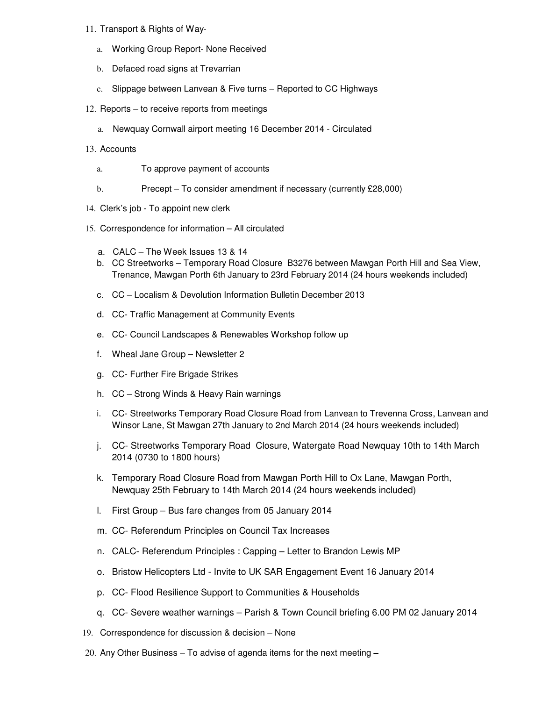#### 11. Transport & Rights of Way-

- a. Working Group Report- None Received
- b. Defaced road signs at Trevarrian
- c. Slippage between Lanvean & Five turns Reported to CC Highways
- 12. Reports to receive reports from meetings
	- a. Newquay Cornwall airport meeting 16 December 2014 Circulated
- 13. Accounts
	- a. To approve payment of accounts
	- b. Precept To consider amendment if necessary (currently £28,000)
- 14. Clerk's job To appoint new clerk
- 15. Correspondence for information All circulated
	- a. CALC The Week Issues 13 & 14
	- b. CC Streetworks Temporary Road Closure B3276 between Mawgan Porth Hill and Sea View, Trenance, Mawgan Porth 6th January to 23rd February 2014 (24 hours weekends included)
	- c. CC Localism & Devolution Information Bulletin December 2013
	- d. CC- Traffic Management at Community Events
	- e. CC- Council Landscapes & Renewables Workshop follow up
	- f. Wheal Jane Group Newsletter 2
	- g. CC- Further Fire Brigade Strikes
	- h. CC Strong Winds & Heavy Rain warnings
	- i. CC- Streetworks Temporary Road Closure Road from Lanvean to Trevenna Cross, Lanvean and Winsor Lane, St Mawgan 27th January to 2nd March 2014 (24 hours weekends included)
	- j. CC- Streetworks Temporary Road Closure, Watergate Road Newquay 10th to 14th March 2014 (0730 to 1800 hours)
	- k. Temporary Road Closure Road from Mawgan Porth Hill to Ox Lane, Mawgan Porth, Newquay 25th February to 14th March 2014 (24 hours weekends included)
	- l. First Group Bus fare changes from 05 January 2014
	- m. CC- Referendum Principles on Council Tax Increases
	- n. CALC- Referendum Principles : Capping Letter to Brandon Lewis MP
	- o. Bristow Helicopters Ltd Invite to UK SAR Engagement Event 16 January 2014
	- p. CC- Flood Resilience Support to Communities & Households
	- q. CC- Severe weather warnings Parish & Town Council briefing 6.00 PM 02 January 2014
- 19. Correspondence for discussion & decision None
- 20. Any Other Business To advise of agenda items for the next meeting